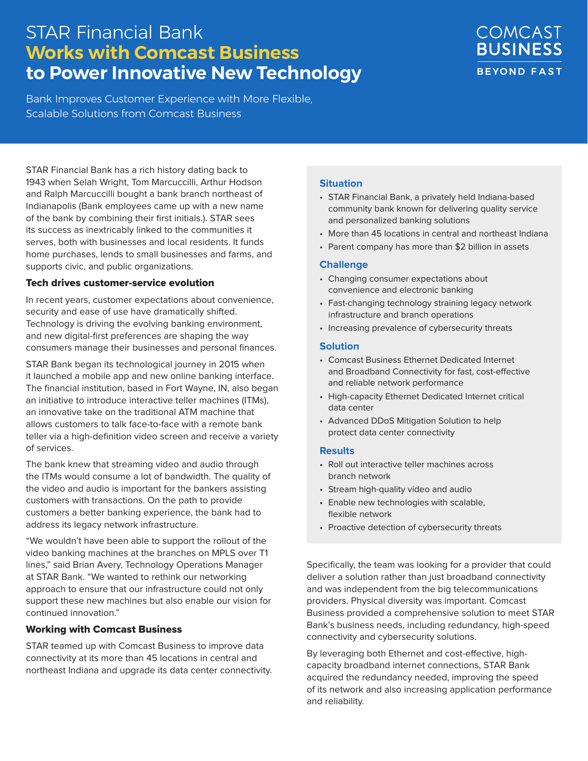# STAR Financial Bank **Works with Comcast Business to Power Innovative New Technology**

Bank Improves Customer Experience with More Flexible, Scalable Solutions from Comcast Business

# COMCAST **BUSINESS BEYOND FAST**

STAR Financial Bank has a rich history dating back to 1943 when Selah Wright, Tom Marcuccilli, Arthur Hodson and Ralph Marcuccilli bought a bank branch northeast of Indianapolis (Bank employees came up with a new name of the bank by combining their first initials.). STAR sees its success as inextricably linked to the communities it serves, both with businesses and local residents. It funds home purchases, lends to small businesses and farms, and supports civic, and public organizations.

#### Tech drives customer-service evolution

In recent years, customer expectations about convenience, security and ease of use have dramatically shifted. Technology is driving the evolving banking environment, and new digital-first preferences are shaping the way consumers manage their businesses and personal finances.

STAR Bank began its technological journey in 2015 when it launched a mobile app and new online banking interface. The financial institution, based in Fort Wayne, IN, also began an initiative to introduce interactive teller machines (ITMs), an innovative take on the traditional ATM machine that allows customers to talk face-to-face with a remote bank teller via a high-definition video screen and receive a variety of services.

The bank knew that streaming video and audio through the ITMs would consume a lot of bandwidth. The quality of the video and audio is important for the bankers assisting customers with transactions. On the path to provide customers a better banking experience, the bank had to address its legacy network infrastructure.

"We wouldn't have been able to support the rollout of the video banking machines at the branches on MPLS over T1 lines," said Brian Avery, Technology Operations Manager at STAR Bank. "We wanted to rethink our networking approach to ensure that our infrastructure could not only support these new machines but also enable our vision for continued innovation."

### Working with Comcast Business

STAR teamed up with Comcast Business to improve data connectivity at its more than 45 locations in central and northeast Indiana and upgrade its data center connectivity.

### **Situation**

- STAR Financial Bank, a privately held Indiana-based community bank known for delivering quality service and personalized banking solutions
- More than 45 locations in central and northeast Indiana
- Parent company has more than \$2 billion in assets

#### **Challenge**

- Changing consumer expectations about convenience and electronic banking
- Fast-changing technology straining legacy network infrastructure and branch operations
- Increasing prevalence of cybersecurity threats

#### **Solution**

- Comcast Business Ethernet Dedicated Internet and Broadband Connectivity for fast, cost-effective and reliable network performance
- High-capacity Ethernet Dedicated Internet critical data center
- Advanced DDoS Mitigation Solution to help protect data center connectivity

#### **Results**

- Roll out interactive teller machines across branch network
- Stream high-quality video and audio
- Enable new technologies with scalable, flexible network
- Proactive detection of cybersecurity threats

Specifically, the team was looking for a provider that could deliver a solution rather than just broadband connectivity and was independent from the big telecommunications providers. Physical diversity was important. Comcast Business provided a comprehensive solution to meet STAR Bank's business needs, including redundancy, high-speed connectivity and cybersecurity solutions.

By leveraging both Ethernet and cost-effective, highcapacity broadband internet connections, STAR Bank acquired the redundancy needed, improving the speed of its network and also increasing application performance and reliability.